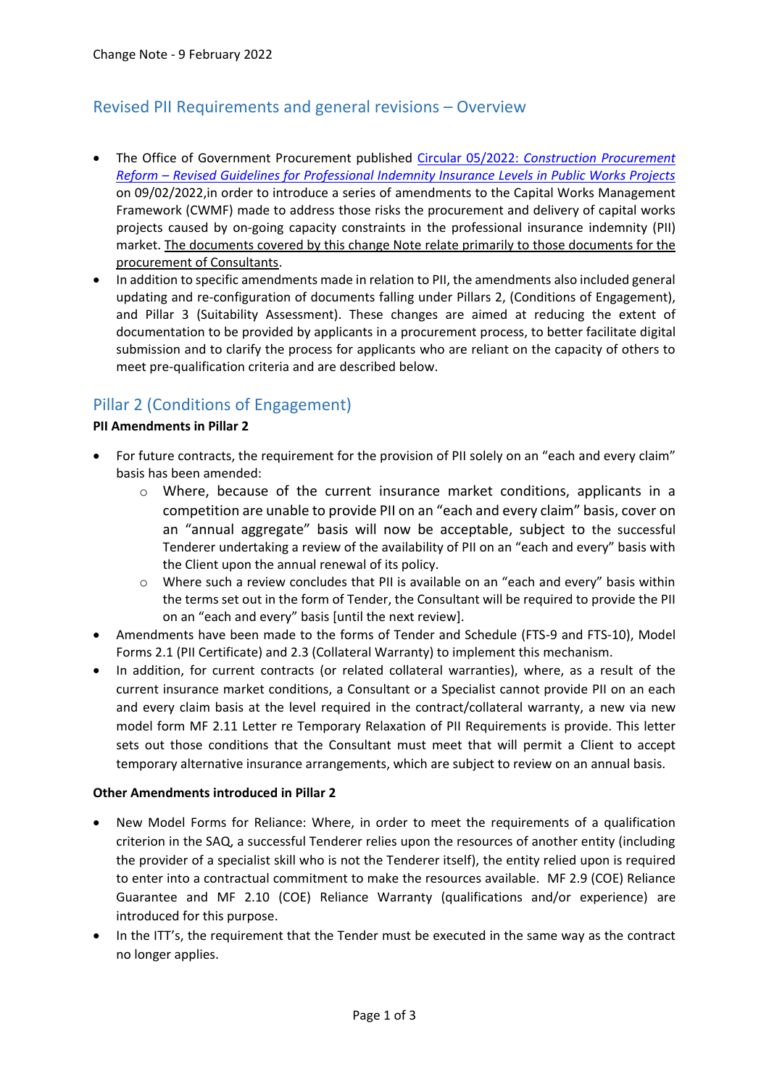# Revised PII Requirements and general revisions – Overview

- The Office of Government Procurement published Circular 05/2022: *[Construction Procurement](https://constructionprocurement.gov.ie/wp-content/uploads/20220209-DPER-Circular-05-2022.pdf)  Reform – [Revised Guidelines for Professional Indemnity Insurance Levels in Public Works Projects](https://constructionprocurement.gov.ie/wp-content/uploads/20220209-DPER-Circular-05-2022.pdf)* on 09/02/2022,in order to introduce a series of amendments to the Capital Works Management Framework (CWMF) made to address those risks the procurement and delivery of capital works projects caused by on-going capacity constraints in the professional insurance indemnity (PII) market. The documents covered by this change Note relate primarily to those documents for the procurement of Consultants.
- In addition to specific amendments made in relation to PII, the amendments also included general updating and re-configuration of documents falling under Pillars 2, (Conditions of Engagement), and Pillar 3 (Suitability Assessment). These changes are aimed at reducing the extent of documentation to be provided by applicants in a procurement process, to better facilitate digital submission and to clarify the process for applicants who are reliant on the capacity of others to meet pre-qualification criteria and are described below.

## Pillar 2 (Conditions of Engagement)

#### **PII Amendments in Pillar 2**

- For future contracts, the requirement for the provision of PII solely on an "each and every claim" basis has been amended:
	- $\circ$  Where, because of the current insurance market conditions, applicants in a competition are unable to provide PII on an "each and every claim" basis, cover on an "annual aggregate" basis will now be acceptable, subject to the successful Tenderer undertaking a review of the availability of PII on an "each and every" basis with the Client upon the annual renewal of its policy.
	- o Where such a review concludes that PII is available on an "each and every" basis within the terms set out in the form of Tender, the Consultant will be required to provide the PII on an "each and every" basis [until the next review].
- Amendments have been made to the forms of Tender and Schedule (FTS-9 and FTS-10), Model Forms 2.1 (PII Certificate) and 2.3 (Collateral Warranty) to implement this mechanism.
- In addition, for current contracts (or related collateral warranties), where, as a result of the current insurance market conditions, a Consultant or a Specialist cannot provide PII on an each and every claim basis at the level required in the contract/collateral warranty, a new via new model form MF 2.11 Letter re Temporary Relaxation of PII Requirements is provide. This letter sets out those conditions that the Consultant must meet that will permit a Client to accept temporary alternative insurance arrangements, which are subject to review on an annual basis.

#### **Other Amendments introduced in Pillar 2**

- New Model Forms for Reliance: Where, in order to meet the requirements of a qualification criterion in the SAQ, a successful Tenderer relies upon the resources of another entity (including the provider of a specialist skill who is not the Tenderer itself), the entity relied upon is required to enter into a contractual commitment to make the resources available. MF 2.9 (COE) Reliance Guarantee and MF 2.10 (COE) Reliance Warranty (qualifications and/or experience) are introduced for this purpose.
- In the ITT's, the requirement that the Tender must be executed in the same way as the contract no longer applies.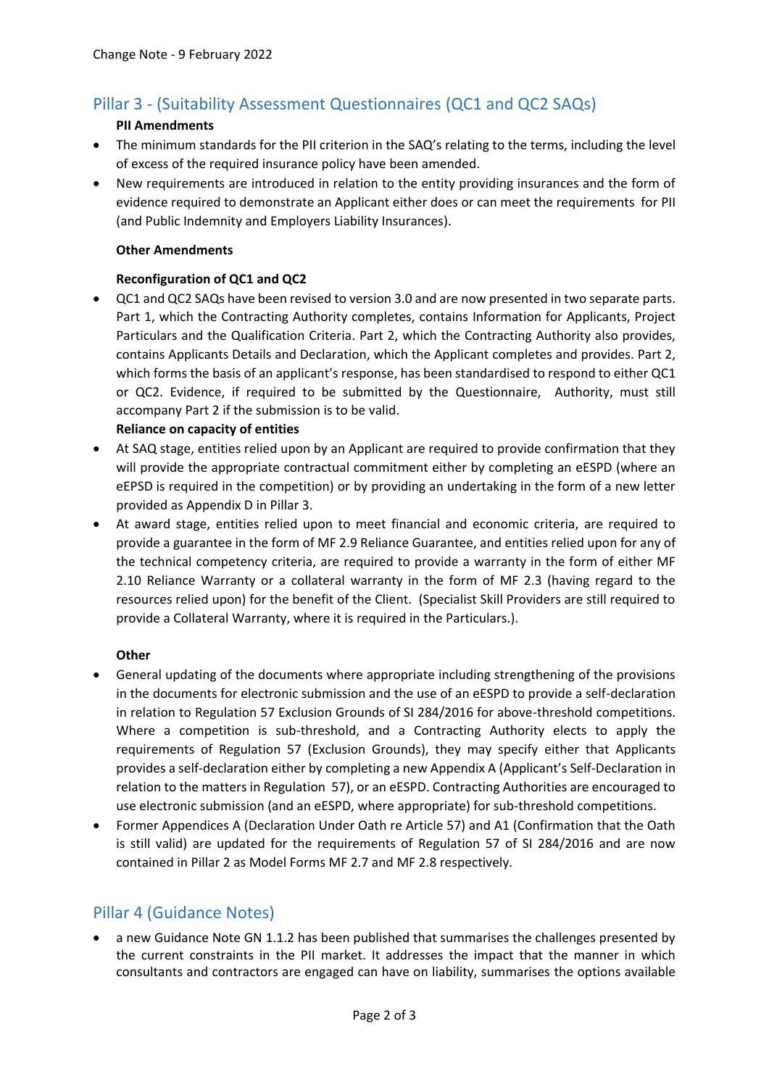# Pillar 3 - (Suitability Assessment Questionnaires (QC1 and QC2 SAQs)

#### **PII Amendments**

- The minimum standards for the PII criterion in the SAQ's relating to the terms, including the level of excess of the required insurance policy have been amended.
- New requirements are introduced in relation to the entity providing insurances and the form of evidence required to demonstrate an Applicant either does or can meet the requirements for PII (and Public Indemnity and Employers Liability Insurances).

#### **Other Amendments**

#### **Reconfiguration of QC1 and QC2**

 QC1 and QC2 SAQs have been revised to version 3.0 and are now presented in two separate parts. Part 1, which the Contracting Authority completes, contains Information for Applicants, Project Particulars and the Qualification Criteria. Part 2, which the Contracting Authority also provides, contains Applicants Details and Declaration, which the Applicant completes and provides. Part 2, which forms the basis of an applicant's response, has been standardised to respond to either QC1 or QC2. Evidence, if required to be submitted by the Questionnaire, Authority, must still accompany Part 2 if the submission is to be valid.

#### **Reliance on capacity of entities**

- At SAQ stage, entities relied upon by an Applicant are required to provide confirmation that they will provide the appropriate contractual commitment either by completing an eESPD (where an eEPSD is required in the competition) or by providing an undertaking in the form of a new letter provided as Appendix D in Pillar 3.
- At award stage, entities relied upon to meet financial and economic criteria, are required to provide a guarantee in the form of MF 2.9 Reliance Guarantee, and entities relied upon for any of the technical competency criteria, are required to provide a warranty in the form of either MF 2.10 Reliance Warranty or a collateral warranty in the form of MF 2.3 (having regard to the resources relied upon) for the benefit of the Client. (Specialist Skill Providers are still required to provide a Collateral Warranty, where it is required in the Particulars.).

#### **Other**

- General updating of the documents where appropriate including strengthening of the provisions in the documents for electronic submission and the use of an eESPD to provide a self-declaration in relation to Regulation 57 Exclusion Grounds of SI 284/2016 for above-threshold competitions. Where a competition is sub-threshold, and a Contracting Authority elects to apply the requirements of Regulation 57 (Exclusion Grounds), they may specify either that Applicants provides a self-declaration either by completing a new Appendix A (Applicant's Self-Declaration in relation to the matters in Regulation 57), or an eESPD. Contracting Authorities are encouraged to use electronic submission (and an eESPD, where appropriate) for sub-threshold competitions.
- Former Appendices A (Declaration Under Oath re Article 57) and A1 (Confirmation that the Oath is still valid) are updated for the requirements of Regulation 57 of SI 284/2016 and are now contained in Pillar 2 as Model Forms MF 2.7 and MF 2.8 respectively.

### Pillar 4 (Guidance Notes)

 a new Guidance Note GN 1.1.2 has been published that summarises the challenges presented by the current constraints in the PII market. It addresses the impact that the manner in which consultants and contractors are engaged can have on liability, summarises the options available